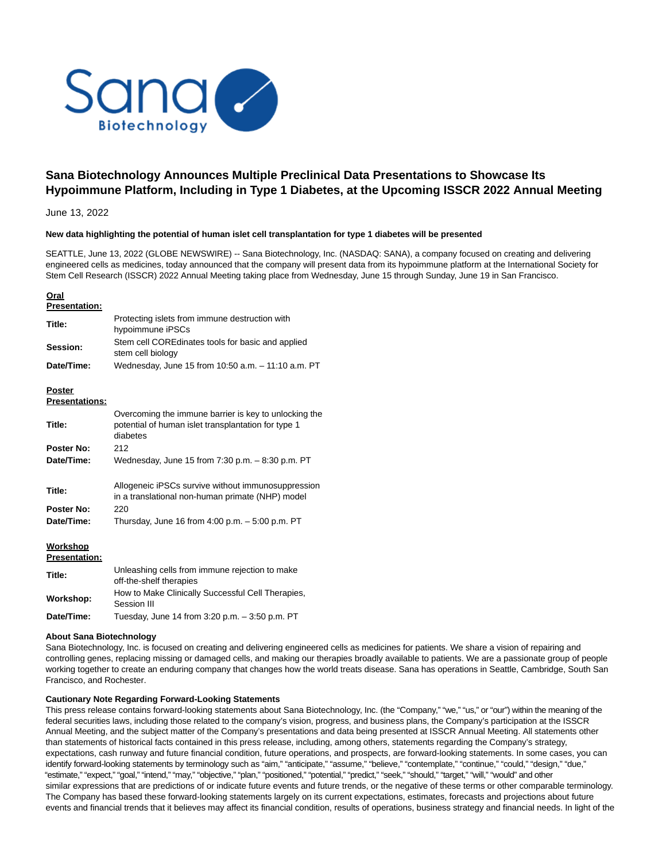

# **Sana Biotechnology Announces Multiple Preclinical Data Presentations to Showcase Its Hypoimmune Platform, Including in Type 1 Diabetes, at the Upcoming ISSCR 2022 Annual Meeting**

June 13, 2022

#### **New data highlighting the potential of human islet cell transplantation for type 1 diabetes will be presented**

SEATTLE, June 13, 2022 (GLOBE NEWSWIRE) -- Sana Biotechnology, Inc. (NASDAQ: SANA), a company focused on creating and delivering engineered cells as medicines, today announced that the company will present data from its hypoimmune platform at the International Society for Stem Cell Research (ISSCR) 2022 Annual Meeting taking place from Wednesday, June 15 through Sunday, June 19 in San Francisco.

## **Oral**

| <b>Presentation:</b>                   |                                                                                                                          |
|----------------------------------------|--------------------------------------------------------------------------------------------------------------------------|
| Title:                                 | Protecting islets from immune destruction with<br>hypoimmune iPSCs                                                       |
| Session:                               | Stem cell COREdinates tools for basic and applied<br>stem cell biology                                                   |
| Date/Time:                             | Wednesday, June 15 from 10:50 a.m. - 11:10 a.m. PT                                                                       |
| <b>Poster</b><br><b>Presentations:</b> |                                                                                                                          |
| Title:                                 | Overcoming the immune barrier is key to unlocking the<br>potential of human islet transplantation for type 1<br>diabetes |
| <b>Poster No:</b>                      | 212                                                                                                                      |
| Date/Time:                             | Wednesday, June 15 from 7:30 p.m. - 8:30 p.m. PT                                                                         |
| Title:                                 | Allogeneic iPSCs survive without immunosuppression<br>in a translational non-human primate (NHP) model                   |
| Poster No:                             | 220                                                                                                                      |
| Date/Time:                             | Thursday, June 16 from $4:00$ p.m. $-5:00$ p.m. PT                                                                       |
| Workshop<br><b>Presentation:</b>       |                                                                                                                          |
| Title:                                 | Unleashing cells from immune rejection to make<br>off-the-shelf therapies                                                |
| Workshop:                              | How to Make Clinically Successful Cell Therapies,<br>Session III                                                         |

# **Date/Time:** Tuesday, June 14 from 3:20 p.m. – 3:50 p.m. PT

#### **About Sana Biotechnology**

Sana Biotechnology, Inc. is focused on creating and delivering engineered cells as medicines for patients. We share a vision of repairing and controlling genes, replacing missing or damaged cells, and making our therapies broadly available to patients. We are a passionate group of people working together to create an enduring company that changes how the world treats disease. Sana has operations in Seattle, Cambridge, South San Francisco, and Rochester.

## **Cautionary Note Regarding Forward-Looking Statements**

This press release contains forward-looking statements about Sana Biotechnology, Inc. (the "Company," "we," "us," or "our") within the meaning of the federal securities laws, including those related to the company's vision, progress, and business plans, the Company's participation at the ISSCR Annual Meeting, and the subject matter of the Company's presentations and data being presented at ISSCR Annual Meeting. All statements other than statements of historical facts contained in this press release, including, among others, statements regarding the Company's strategy, expectations, cash runway and future financial condition, future operations, and prospects, are forward-looking statements. In some cases, you can identify forward-looking statements by terminology such as "aim," "anticipate," "assume," "believe," "contemplate," "continue," "could," "design," "due," "estimate," "expect," "goal," "intend," "may," "objective," "plan," "positioned," "potential," "predict," "seek," "should," "target," "will," "would" and other similar expressions that are predictions of or indicate future events and future trends, or the negative of these terms or other comparable terminology. The Company has based these forward-looking statements largely on its current expectations, estimates, forecasts and projections about future events and financial trends that it believes may affect its financial condition, results of operations, business strategy and financial needs. In light of the